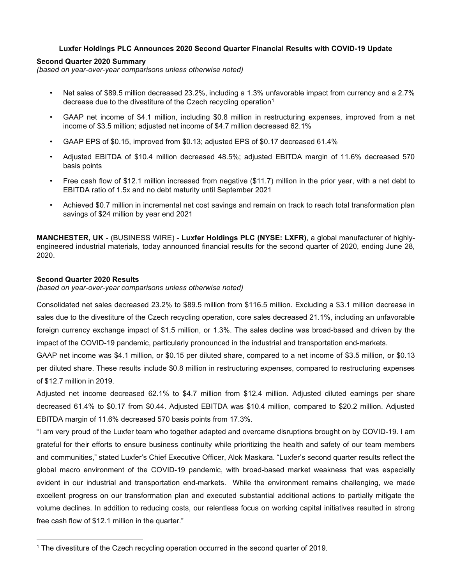## Luxfer Holdings PLC Announces 2020 Second Quarter Financial Results with COVID-19 Update

### Second Quarter 2020 Summary

(based on year-over-year comparisons unless otherwise noted)

- Net sales of \$89.5 million decreased 23.2%, including a 1.3% unfavorable impact from currency and a 2.7% decrease due to the divestiture of the Czech recycling operation<sup>1</sup>
- GAAP net income of \$4.1 million, including \$0.8 million in restructuring expenses, improved from a net income of \$3.5 million; adjusted net income of \$4.7 million decreased 62.1%
- GAAP EPS of \$0.15, improved from \$0.13; adjusted EPS of \$0.17 decreased 61.4%
- Adjusted EBITDA of \$10.4 million decreased 48.5%; adjusted EBITDA margin of 11.6% decreased 570 basis points
- Free cash flow of \$12.1 million increased from negative (\$11.7) million in the prior year, with a net debt to EBITDA ratio of 1.5x and no debt maturity until September 2021
- Achieved \$0.7 million in incremental net cost savings and remain on track to reach total transformation plan savings of \$24 million by year end 2021

MANCHESTER, UK - (BUSINESS WIRE) - Luxfer Holdings PLC (NYSE: LXFR), a global manufacturer of highlyengineered industrial materials, today announced financial results for the second quarter of 2020, ending June 28, 2020.

## Second Quarter 2020 Results

(based on year-over-year comparisons unless otherwise noted)

Consolidated net sales decreased 23.2% to \$89.5 million from \$116.5 million. Excluding a \$3.1 million decrease in sales due to the divestiture of the Czech recycling operation, core sales decreased 21.1%, including an unfavorable foreign currency exchange impact of \$1.5 million, or 1.3%. The sales decline was broad-based and driven by the impact of the COVID-19 pandemic, particularly pronounced in the industrial and transportation end-markets.

GAAP net income was \$4.1 million, or \$0.15 per diluted share, compared to a net income of \$3.5 million, or \$0.13 per diluted share. These results include \$0.8 million in restructuring expenses, compared to restructuring expenses of \$12.7 million in 2019.

Adjusted net income decreased 62.1% to \$4.7 million from \$12.4 million. Adjusted diluted earnings per share decreased 61.4% to \$0.17 from \$0.44. Adjusted EBITDA was \$10.4 million, compared to \$20.2 million. Adjusted EBITDA margin of 11.6% decreased 570 basis points from 17.3%.

"I am very proud of the Luxfer team who together adapted and overcame disruptions brought on by COVID-19. I am grateful for their efforts to ensure business continuity while prioritizing the health and safety of our team members and communities," stated Luxfer's Chief Executive Officer, Alok Maskara. "Luxfer's second quarter results reflect the global macro environment of the COVID-19 pandemic, with broad-based market weakness that was especially evident in our industrial and transportation end-markets. While the environment remains challenging, we made excellent progress on our transformation plan and executed substantial additional actions to partially mitigate the volume declines. In addition to reducing costs, our relentless focus on working capital initiatives resulted in strong free cash flow of \$12.1 million in the quarter."

<sup>1</sup> The divestiture of the Czech recycling operation occurred in the second quarter of 2019.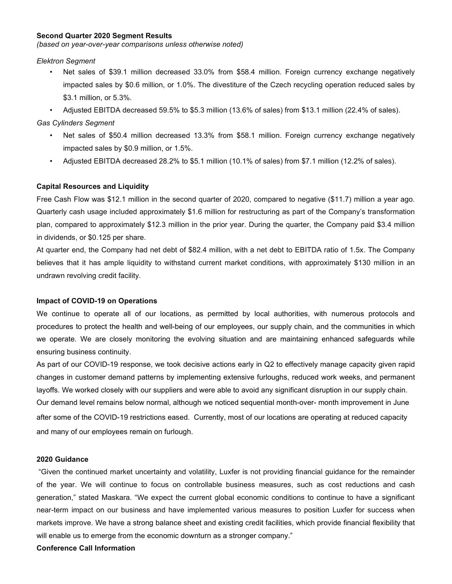#### Second Quarter 2020 Segment Results

(based on year-over-year comparisons unless otherwise noted)

#### Elektron Segment

- Net sales of \$39.1 million decreased 33.0% from \$58.4 million. Foreign currency exchange negatively impacted sales by \$0.6 million, or 1.0%. The divestiture of the Czech recycling operation reduced sales by \$3.1 million, or 5.3%.
- Adjusted EBITDA decreased 59.5% to \$5.3 million (13.6% of sales) from \$13.1 million (22.4% of sales).

#### Gas Cylinders Segment

- Net sales of \$50.4 million decreased 13.3% from \$58.1 million. Foreign currency exchange negatively impacted sales by \$0.9 million, or 1.5%.
- Adjusted EBITDA decreased 28.2% to \$5.1 million (10.1% of sales) from \$7.1 million (12.2% of sales).

### Capital Resources and Liquidity

Free Cash Flow was \$12.1 million in the second quarter of 2020, compared to negative (\$11.7) million a year ago. Quarterly cash usage included approximately \$1.6 million for restructuring as part of the Company's transformation plan, compared to approximately \$12.3 million in the prior year. During the quarter, the Company paid \$3.4 million in dividends, or \$0.125 per share.

At quarter end, the Company had net debt of \$82.4 million, with a net debt to EBITDA ratio of 1.5x. The Company believes that it has ample liquidity to withstand current market conditions, with approximately \$130 million in an undrawn revolving credit facility.

### Impact of COVID-19 on Operations

We continue to operate all of our locations, as permitted by local authorities, with numerous protocols and procedures to protect the health and well-being of our employees, our supply chain, and the communities in which we operate. We are closely monitoring the evolving situation and are maintaining enhanced safeguards while ensuring business continuity.

As part of our COVID-19 response, we took decisive actions early in Q2 to effectively manage capacity given rapid changes in customer demand patterns by implementing extensive furloughs, reduced work weeks, and permanent layoffs. We worked closely with our suppliers and were able to avoid any significant disruption in our supply chain. Our demand level remains below normal, although we noticed sequential month-over- month improvement in June after some of the COVID-19 restrictions eased. Currently, most of our locations are operating at reduced capacity and many of our employees remain on furlough.

## 2020 Guidance

 "Given the continued market uncertainty and volatility, Luxfer is not providing financial guidance for the remainder of the year. We will continue to focus on controllable business measures, such as cost reductions and cash generation," stated Maskara. "We expect the current global economic conditions to continue to have a significant near-term impact on our business and have implemented various measures to position Luxfer for success when markets improve. We have a strong balance sheet and existing credit facilities, which provide financial flexibility that will enable us to emerge from the economic downturn as a stronger company."

## Conference Call Information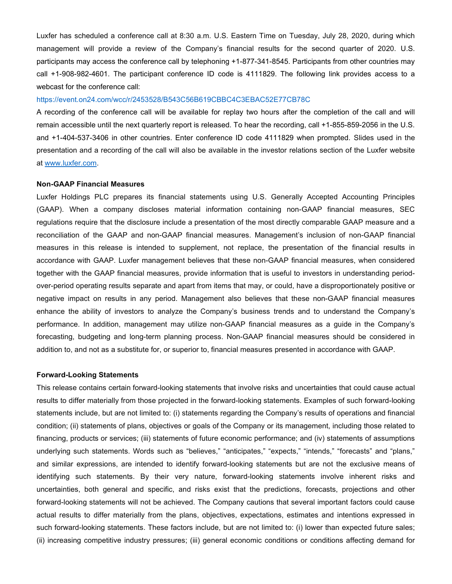Luxfer has scheduled a conference call at 8:30 a.m. U.S. Eastern Time on Tuesday, July 28, 2020, during which management will provide a review of the Company's financial results for the second quarter of 2020. U.S. participants may access the conference call by telephoning +1-877-341-8545. Participants from other countries may call +1-908-982-4601. The participant conference ID code is 4111829. The following link provides access to a webcast for the conference call:

### https://event.on24.com/wcc/r/2453528/B543C56B619CBBC4C3EBAC52E77CB78C

A recording of the conference call will be available for replay two hours after the completion of the call and will remain accessible until the next quarterly report is released. To hear the recording, call +1-855-859-2056 in the U.S. and +1-404-537-3406 in other countries. Enter conference ID code 4111829 when prompted. Slides used in the presentation and a recording of the call will also be available in the investor relations section of the Luxfer website at www.luxfer.com.

### Non-GAAP Financial Measures

Luxfer Holdings PLC prepares its financial statements using U.S. Generally Accepted Accounting Principles (GAAP). When a company discloses material information containing non-GAAP financial measures, SEC regulations require that the disclosure include a presentation of the most directly comparable GAAP measure and a reconciliation of the GAAP and non-GAAP financial measures. Management's inclusion of non-GAAP financial measures in this release is intended to supplement, not replace, the presentation of the financial results in accordance with GAAP. Luxfer management believes that these non-GAAP financial measures, when considered together with the GAAP financial measures, provide information that is useful to investors in understanding periodover-period operating results separate and apart from items that may, or could, have a disproportionately positive or negative impact on results in any period. Management also believes that these non-GAAP financial measures enhance the ability of investors to analyze the Company's business trends and to understand the Company's performance. In addition, management may utilize non-GAAP financial measures as a guide in the Company's forecasting, budgeting and long-term planning process. Non-GAAP financial measures should be considered in addition to, and not as a substitute for, or superior to, financial measures presented in accordance with GAAP.

#### Forward-Looking Statements

This release contains certain forward-looking statements that involve risks and uncertainties that could cause actual results to differ materially from those projected in the forward-looking statements. Examples of such forward-looking statements include, but are not limited to: (i) statements regarding the Company's results of operations and financial condition; (ii) statements of plans, objectives or goals of the Company or its management, including those related to financing, products or services; (iii) statements of future economic performance; and (iv) statements of assumptions underlying such statements. Words such as "believes," "anticipates," "expects," "intends," "forecasts" and "plans," and similar expressions, are intended to identify forward-looking statements but are not the exclusive means of identifying such statements. By their very nature, forward-looking statements involve inherent risks and uncertainties, both general and specific, and risks exist that the predictions, forecasts, projections and other forward-looking statements will not be achieved. The Company cautions that several important factors could cause actual results to differ materially from the plans, objectives, expectations, estimates and intentions expressed in such forward-looking statements. These factors include, but are not limited to: (i) lower than expected future sales; (ii) increasing competitive industry pressures; (iii) general economic conditions or conditions affecting demand for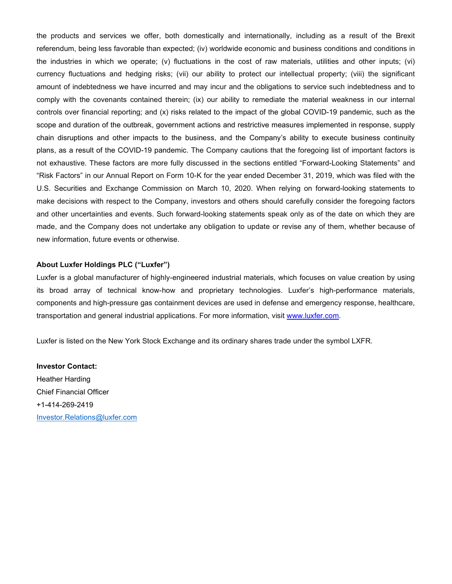the products and services we offer, both domestically and internationally, including as a result of the Brexit referendum, being less favorable than expected; (iv) worldwide economic and business conditions and conditions in the industries in which we operate; (v) fluctuations in the cost of raw materials, utilities and other inputs; (vi) currency fluctuations and hedging risks; (vii) our ability to protect our intellectual property; (viii) the significant amount of indebtedness we have incurred and may incur and the obligations to service such indebtedness and to comply with the covenants contained therein; (ix) our ability to remediate the material weakness in our internal controls over financial reporting; and (x) risks related to the impact of the global COVID-19 pandemic, such as the scope and duration of the outbreak, government actions and restrictive measures implemented in response, supply chain disruptions and other impacts to the business, and the Company's ability to execute business continuity plans, as a result of the COVID-19 pandemic. The Company cautions that the foregoing list of important factors is not exhaustive. These factors are more fully discussed in the sections entitled "Forward-Looking Statements" and "Risk Factors" in our Annual Report on Form 10-K for the year ended December 31, 2019, which was filed with the U.S. Securities and Exchange Commission on March 10, 2020. When relying on forward-looking statements to make decisions with respect to the Company, investors and others should carefully consider the foregoing factors and other uncertainties and events. Such forward-looking statements speak only as of the date on which they are made, and the Company does not undertake any obligation to update or revise any of them, whether because of new information, future events or otherwise.

### About Luxfer Holdings PLC ("Luxfer")

Luxfer is a global manufacturer of highly-engineered industrial materials, which focuses on value creation by using its broad array of technical know-how and proprietary technologies. Luxfer's high-performance materials, components and high-pressure gas containment devices are used in defense and emergency response, healthcare, transportation and general industrial applications. For more information, visit www.luxfer.com.

Luxfer is listed on the New York Stock Exchange and its ordinary shares trade under the symbol LXFR.

Investor Contact: Heather Harding Chief Financial Officer +1-414-269-2419 Investor.Relations@luxfer.com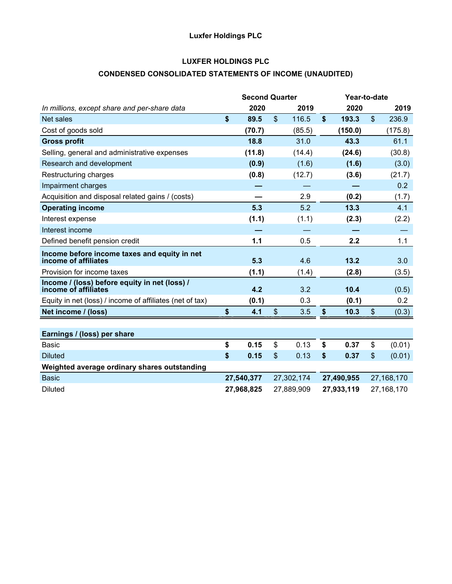# Luxfer Holdings PLC

# LUXFER HOLDINGS PLC

# CONDENSED CONSOLIDATED STATEMENTS OF INCOME (UNAUDITED)

|                                                                       | <b>Second Quarter</b> |                           |            | Year-to-date |            |                |            |  |  |
|-----------------------------------------------------------------------|-----------------------|---------------------------|------------|--------------|------------|----------------|------------|--|--|
| In millions, except share and per-share data                          | 2020                  |                           | 2019       |              | 2020       |                | 2019       |  |  |
| Net sales                                                             | \$<br>89.5            | $\mathfrak{L}$            | 116.5      | \$           | 193.3      | $\mathfrak{L}$ | 236.9      |  |  |
| Cost of goods sold                                                    | (70.7)                |                           | (85.5)     |              | (150.0)    |                | (175.8)    |  |  |
| <b>Gross profit</b>                                                   | 18.8                  |                           | 31.0       |              | 43.3       |                | 61.1       |  |  |
| Selling, general and administrative expenses                          | (11.8)                |                           | (14.4)     |              | (24.6)     |                | (30.8)     |  |  |
| Research and development                                              | (0.9)                 |                           | (1.6)      |              | (1.6)      |                | (3.0)      |  |  |
| Restructuring charges                                                 | (0.8)                 |                           | (12.7)     |              | (3.6)      |                | (21.7)     |  |  |
| Impairment charges                                                    |                       |                           |            |              |            |                | 0.2        |  |  |
| Acquisition and disposal related gains / (costs)                      |                       |                           | 2.9        |              | (0.2)      |                | (1.7)      |  |  |
| <b>Operating income</b>                                               | 5.3                   |                           | 5.2        |              | 13.3       |                | 4.1        |  |  |
| Interest expense                                                      | (1.1)                 |                           | (1.1)      |              | (2.3)      |                | (2.2)      |  |  |
| Interest income                                                       |                       |                           |            |              |            |                |            |  |  |
| Defined benefit pension credit                                        | 1.1                   |                           | 0.5        |              | 2.2        |                | 1.1        |  |  |
| Income before income taxes and equity in net<br>income of affiliates  | 5.3                   |                           | 4.6        |              | 13.2       |                | 3.0        |  |  |
| Provision for income taxes                                            | (1.1)                 |                           | (1.4)      |              | (2.8)      |                | (3.5)      |  |  |
| Income / (loss) before equity in net (loss) /<br>income of affiliates | 4.2                   |                           | 3.2        |              | 10.4       |                | (0.5)      |  |  |
| Equity in net (loss) / income of affiliates (net of tax)              | (0.1)                 |                           | 0.3        |              | (0.1)      |                | 0.2        |  |  |
| Net income / (loss)                                                   | \$<br>4.1             | $\$\$                     | 3.5        | \$           | 10.3       | \$             | (0.3)      |  |  |
|                                                                       |                       |                           |            |              |            |                |            |  |  |
| Earnings / (loss) per share                                           |                       |                           |            |              |            |                |            |  |  |
| <b>Basic</b>                                                          | \$<br>0.15            | \$                        | 0.13       | \$           | 0.37       | \$             | (0.01)     |  |  |
| <b>Diluted</b>                                                        | \$<br>0.15            | $\boldsymbol{\mathsf{S}}$ | 0.13       | \$           | 0.37       | \$             | (0.01)     |  |  |
| Weighted average ordinary shares outstanding                          |                       |                           |            |              |            |                |            |  |  |
| <b>Basic</b>                                                          | 27,540,377            |                           | 27,302,174 |              | 27,490,955 |                | 27,168,170 |  |  |
| <b>Diluted</b>                                                        | 27,968,825            |                           | 27,889,909 |              | 27,933,119 |                | 27,168,170 |  |  |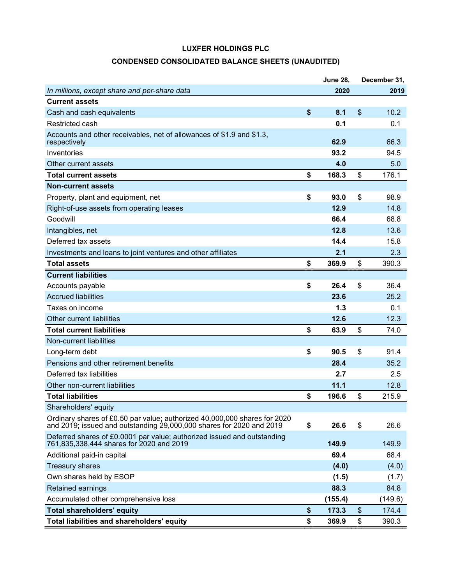# CONDENSED CONSOLIDATED BALANCE SHEETS (UNAUDITED)

|                                                                                                                                                   | <b>June 28,</b> | December 31, |
|---------------------------------------------------------------------------------------------------------------------------------------------------|-----------------|--------------|
| In millions, except share and per-share data                                                                                                      | 2020            | 2019         |
| <b>Current assets</b>                                                                                                                             |                 |              |
| Cash and cash equivalents                                                                                                                         | \$<br>8.1       | \$<br>10.2   |
| Restricted cash                                                                                                                                   | 0.1             | 0.1          |
| Accounts and other receivables, net of allowances of \$1.9 and \$1.3,<br>respectively                                                             | 62.9            | 66.3         |
| Inventories                                                                                                                                       | 93.2            | 94.5         |
| Other current assets                                                                                                                              | 4.0             | 5.0          |
| <b>Total current assets</b>                                                                                                                       | \$<br>168.3     | \$<br>176.1  |
| <b>Non-current assets</b>                                                                                                                         |                 |              |
| Property, plant and equipment, net                                                                                                                | \$<br>93.0      | \$<br>98.9   |
| Right-of-use assets from operating leases                                                                                                         | 12.9            | 14.8         |
| Goodwill                                                                                                                                          | 66.4            | 68.8         |
| Intangibles, net                                                                                                                                  | 12.8            | 13.6         |
| Deferred tax assets                                                                                                                               | 14.4            | 15.8         |
| Investments and loans to joint ventures and other affiliates                                                                                      | 2.1             | 2.3          |
| <b>Total assets</b>                                                                                                                               | \$<br>369.9     | \$<br>390.3  |
| <b>Current liabilities</b>                                                                                                                        |                 |              |
| Accounts payable                                                                                                                                  | \$<br>26.4      | \$<br>36.4   |
| <b>Accrued liabilities</b>                                                                                                                        | 23.6            | 25.2         |
| Taxes on income                                                                                                                                   | 1.3             | 0.1          |
| Other current liabilities                                                                                                                         | 12.6            | 12.3         |
| <b>Total current liabilities</b>                                                                                                                  | \$<br>63.9      | \$<br>74.0   |
| Non-current liabilities                                                                                                                           |                 |              |
| Long-term debt                                                                                                                                    | \$<br>90.5      | \$<br>91.4   |
| Pensions and other retirement benefits                                                                                                            | 28.4            | 35.2         |
| Deferred tax liabilities                                                                                                                          | 2.7             | 2.5          |
| Other non-current liabilities                                                                                                                     | 11.1            | 12.8         |
| <b>Total liabilities</b>                                                                                                                          | \$<br>196.6     | \$<br>215.9  |
| Shareholders' equity                                                                                                                              |                 |              |
| Ordinary shares of £0.50 par value; authorized 40,000,000 shares for 2020<br>and 2019; issued and outstanding 29,000,000 shares for 2020 and 2019 | \$<br>26.6      | \$<br>26.6   |
| Deferred shares of £0.0001 par value; authorized issued and outstanding<br>761,835,338,444 shares for 2020 and 2019                               | 149.9           | 149.9        |
| Additional paid-in capital                                                                                                                        | 69.4            | 68.4         |
| <b>Treasury shares</b>                                                                                                                            | (4.0)           | (4.0)        |
| Own shares held by ESOP                                                                                                                           | (1.5)           | (1.7)        |
| Retained earnings                                                                                                                                 | 88.3            | 84.8         |
| Accumulated other comprehensive loss                                                                                                              | (155.4)         | (149.6)      |
| <b>Total shareholders' equity</b>                                                                                                                 | \$<br>173.3     | \$<br>174.4  |
| Total liabilities and shareholders' equity                                                                                                        | \$<br>369.9     | \$<br>390.3  |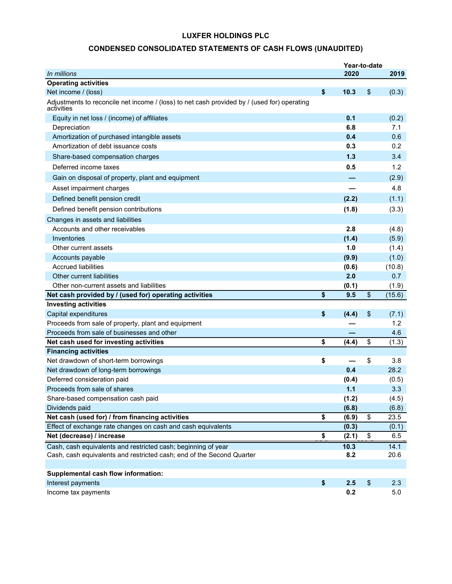# CONDENSED CONSOLIDATED STATEMENTS OF CASH FLOWS (UNAUDITED)

|                                                                                                           | Year-to-date |                         |        |
|-----------------------------------------------------------------------------------------------------------|--------------|-------------------------|--------|
| In millions                                                                                               | 2020         |                         | 2019   |
| <b>Operating activities</b>                                                                               |              |                         |        |
| Net income / (loss)                                                                                       | \$<br>10.3   | \$                      | (0.3)  |
| Adjustments to reconcile net income / (loss) to net cash provided by / (used for) operating<br>activities |              |                         |        |
| Equity in net loss / (income) of affiliates                                                               | 0.1          |                         | (0.2)  |
| Depreciation                                                                                              | 6.8          |                         | 7.1    |
| Amortization of purchased intangible assets                                                               | 0.4          |                         | 0.6    |
| Amortization of debt issuance costs                                                                       | 0.3          |                         | 0.2    |
| Share-based compensation charges                                                                          | 1.3          |                         | 3.4    |
| Deferred income taxes                                                                                     | 0.5          |                         | 1.2    |
| Gain on disposal of property, plant and equipment                                                         |              |                         | (2.9)  |
| Asset impairment charges                                                                                  |              |                         | 4.8    |
| Defined benefit pension credit                                                                            | (2.2)        |                         | (1.1)  |
| Defined benefit pension contributions                                                                     | (1.8)        |                         | (3.3)  |
| Changes in assets and liabilities                                                                         |              |                         |        |
| Accounts and other receivables                                                                            | 2.8          |                         | (4.8)  |
| Inventories                                                                                               | (1.4)        |                         | (5.9)  |
| Other current assets                                                                                      | 1.0          |                         | (1.4)  |
| Accounts payable                                                                                          | (9.9)        |                         | (1.0)  |
| <b>Accrued liabilities</b>                                                                                | (0.6)        |                         | (10.8) |
| Other current liabilities                                                                                 | 2.0          |                         | 0.7    |
| Other non-current assets and liabilities                                                                  | (0.1)        |                         | (1.9)  |
| Net cash provided by / (used for) operating activities                                                    | \$<br>9.5    | $\sqrt[6]{\frac{1}{2}}$ | (15.6) |
| <b>Investing activities</b>                                                                               |              |                         |        |
| Capital expenditures                                                                                      | \$<br>(4.4)  | \$                      | (7.1)  |
| Proceeds from sale of property, plant and equipment                                                       |              |                         | 1.2    |
| Proceeds from sale of businesses and other                                                                |              |                         | 4.6    |
| Net cash used for investing activities                                                                    | \$<br>(4.4)  | \$                      | (1.3)  |
| <b>Financing activities</b>                                                                               |              |                         |        |
| Net drawdown of short-term borrowings                                                                     | \$           | \$                      | 3.8    |
| Net drawdown of long-term borrowings                                                                      | 0.4          |                         | 28.2   |
| Deferred consideration paid                                                                               | (0.4)        |                         | (0.5)  |
| Proceeds from sale of shares                                                                              | 1.1          |                         | 3.3    |
| Share-based compensation cash paid                                                                        | (1.2)        |                         | (4.5)  |
| Dividends paid                                                                                            | (6.8)        |                         | (6.8)  |
| Net cash (used for) / from financing activities                                                           | \$<br>(6.9)  | \$                      | 23.5   |
| Effect of exchange rate changes on cash and cash equivalents                                              | (0.3)        |                         | (0.1)  |
| Net (decrease) / increase                                                                                 | \$<br>(2.1)  | \$                      | 6.5    |
| Cash, cash equivalents and restricted cash; beginning of year                                             | 10.3         |                         | 14.1   |
| Cash, cash equivalents and restricted cash; end of the Second Quarter                                     | 8.2          |                         | 20.6   |
|                                                                                                           |              |                         |        |
| Supplemental cash flow information:                                                                       |              |                         |        |
| Interest payments                                                                                         | \$<br>2.5    | \$                      | 2.3    |
| Income tax payments                                                                                       | 0.2          |                         | 5.0    |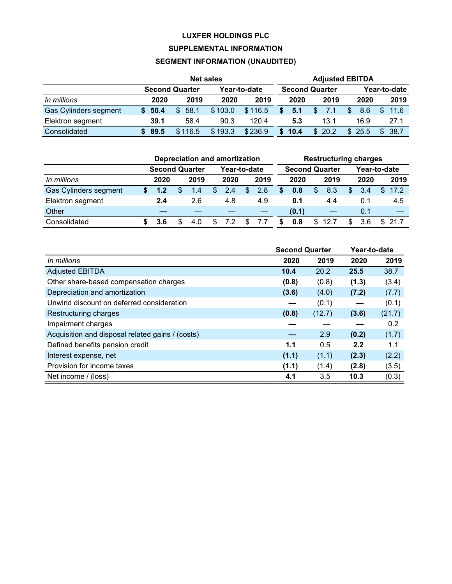## SUPPLEMENTAL INFORMATION

# SEGMENT INFORMATION (UNAUDITED)

|                              | <b>Net sales</b> |                       |         |              |  | <b>Adjusted EBITDA</b> |     |      |    |      |  |              |  |
|------------------------------|------------------|-----------------------|---------|--------------|--|------------------------|-----|------|----|------|--|--------------|--|
|                              |                  | <b>Second Quarter</b> |         | Year-to-date |  | <b>Second Quarter</b>  |     |      |    |      |  | Year-to-date |  |
| In millions                  | 2020             | 2019                  | 2020    | 2019         |  | 2020                   |     | 2019 |    | 2020 |  | 2019         |  |
| <b>Gas Cylinders segment</b> | \$50.4           | 58.1<br>$\mathbf{S}$  | \$103.0 | \$116.5      |  | 5.1                    | \$. |      |    | 8.6  |  | 11.6         |  |
| Elektron segment             | 39.1             | 58.4                  | 90.3    | 120.4        |  | 5.3                    |     | 13.1 |    | 16.9 |  | 27.1         |  |
| Consolidated                 | 89.5             | \$116.5               | \$193.3 | \$236.9      |  | \$10.4                 | \$. | 20.2 | \$ | 25.5 |  | 38.7         |  |

|                              | <b>Depreciation and amortization</b> |     |      |              |              | <b>Restructuring charges</b> |          |                       |     |      |    |              |     |      |
|------------------------------|--------------------------------------|-----|------|--------------|--------------|------------------------------|----------|-----------------------|-----|------|----|--------------|-----|------|
|                              | <b>Second Quarter</b>                |     |      |              | Year-to-date |                              |          | <b>Second Quarter</b> |     |      |    | Year-to-date |     |      |
| In millions                  | 2020                                 |     | 2019 |              | 2020         | 2019                         |          | 2020                  |     | 2019 |    | 2020         |     | 2019 |
| <b>Gas Cylinders segment</b> | 1.2                                  | \$. | 1.4  | $\mathbb{S}$ | 2.4          | \$<br>2.8                    | <b>S</b> | 0.8                   | \$. | 8.3  | \$ | 3.4          | \$. | 17.2 |
| Elektron segment             | 2.4                                  |     | 2.6  |              | 4.8          | 4.9                          |          | 0.1                   |     | 4.4  |    | 0.1          |     | 4.5  |
| Other                        |                                      |     |      |              |              |                              |          | (0.1)                 |     |      |    | 0.1          |     |      |
| Consolidated                 | 3.6                                  |     | 4.0  | \$.          |              | \$                           | S        | 0.8                   | \$  | 12.7 |    | 3.6          | \$. | 21.7 |

|                                                  | <b>Second Quarter</b> | Year-to-date |       |        |
|--------------------------------------------------|-----------------------|--------------|-------|--------|
| In millions                                      | 2020                  | 2019         | 2020  | 2019   |
| <b>Adjusted EBITDA</b>                           | 10.4                  | 20.2         | 25.5  | 38.7   |
| Other share-based compensation charges           | (0.8)                 | (0.8)        | (1.3) | (3.4)  |
| Depreciation and amortization                    | (3.6)                 | (4.0)        | (7.2) | (7.7)  |
| Unwind discount on deferred consideration        |                       | (0.1)        |       | (0.1)  |
| Restructuring charges                            | (0.8)                 | (12.7)       | (3.6) | (21.7) |
| Impairment charges                               |                       |              |       | 0.2    |
| Acquisition and disposal related gains / (costs) |                       | 2.9          | (0.2) | (1.7)  |
| Defined benefits pension credit                  | 1.1                   | 0.5          | 2.2   | 1.1    |
| Interest expense, net                            | (1.1)                 | (1.1)        | (2.3) | (2.2)  |
| Provision for income taxes                       | (1.1)                 | (1.4)        | (2.8) | (3.5)  |
| Net income / (loss)                              | 4.1                   | 3.5          | 10.3  | (0.3)  |